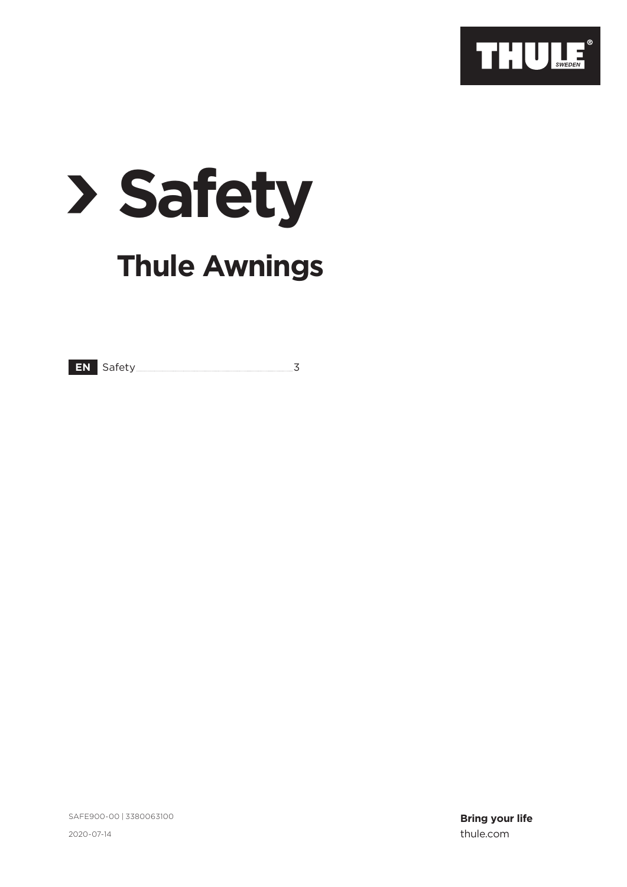

# **√Safety Thule Awnings**

**EN** Safety 3

SAFE900-00 | 3380063100

**Bring your life** 2020-07-14 thule.com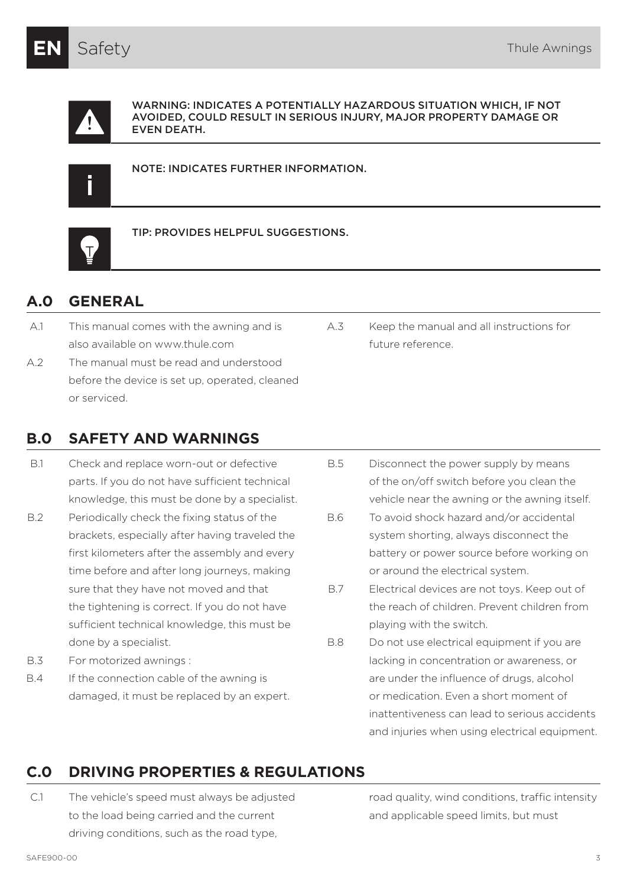

WARNING: INDICATES A POTENTIALLY HAZARDOUS SITUATION WHICH, IF NOT AVOIDED, COULD RESULT IN SERIOUS INJURY, MAJOR PROPERTY DAMAGE OR EVEN DEATH.

NOTE: INDICATES FURTHER INFORMATION.



TIP: PROVIDES HELPFUL SUGGESTIONS.

## **A.0 GENERAL**

- A.1 This manual comes with the awning and is also available on www.thule.com
- A.2 The manual must be read and understood before the device is set up, operated, cleaned or serviced.

# **B.0 SAFETY AND WARNINGS**

- B.1 Check and replace worn-out or defective parts. If you do not have sufficient technical knowledge, this must be done by a specialist.
- B.2 Periodically check the fixing status of the brackets, especially after having traveled the first kilometers after the assembly and every time before and after long journeys, making sure that they have not moved and that the tightening is correct. If you do not have sufficient technical knowledge, this must be done by a specialist.
- B.3 For motorized awnings :
- B.4 If the connection cable of the awning is damaged, it must be replaced by an expert.

A.3 Keep the manual and all instructions for future reference.

- B.5 Disconnect the power supply by means of the on/off switch before you clean the vehicle near the awning or the awning itself.
- B.6 To avoid shock hazard and/or accidental system shorting, always disconnect the battery or power source before working on or around the electrical system.
- B.7 Electrical devices are not toys. Keep out of the reach of children. Prevent children from playing with the switch.
- B.8 Do not use electrical equipment if you are lacking in concentration or awareness, or are under the influence of drugs, alcohol or medication. Even a short moment of inattentiveness can lead to serious accidents and injuries when using electrical equipment.

# **C.0 DRIVING PROPERTIES & REGULATIONS**

C.1 The vehicle's speed must always be adjusted to the load being carried and the current driving conditions, such as the road type,

road quality, wind conditions, traffic intensity and applicable speed limits, but must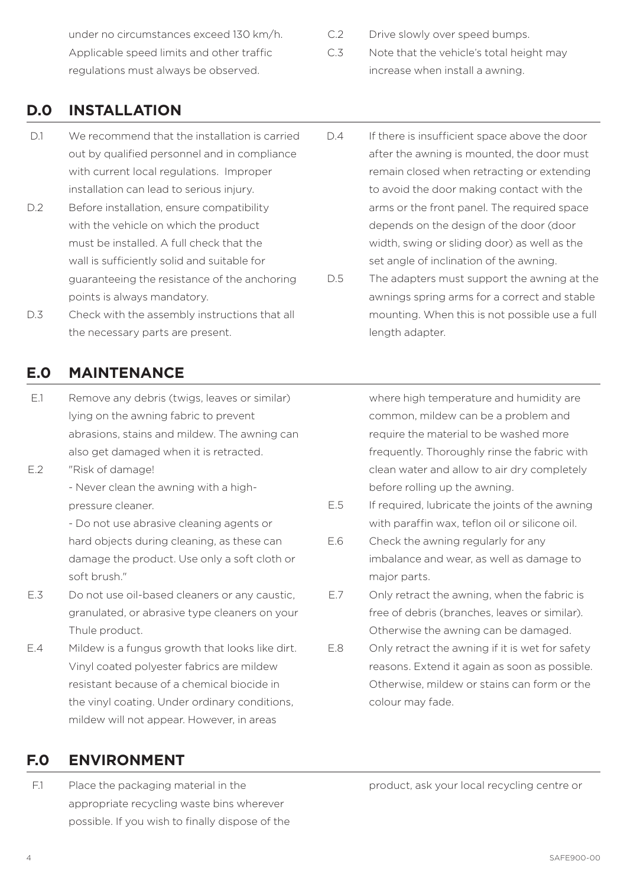under no circumstances exceed 130 km/h. Applicable speed limits and other traffic regulations must always be observed.

C.2 Drive slowly over speed bumps.

C.3 Note that the vehicle's total height may increase when install a awning.

#### **D.0 INSTALLATION**

- D.1 We recommend that the installation is carried out by qualified personnel and in compliance with current local regulations. Improper installation can lead to serious injury.
- D.2 Before installation, ensure compatibility with the vehicle on which the product must be installed. A full check that the wall is sufficiently solid and suitable for guaranteeing the resistance of the anchoring points is always mandatory.
- D.3 Check with the assembly instructions that all the necessary parts are present.

#### **E.0 MAINTENANCE**

- E.1 Remove any debris (twigs, leaves or similar) lying on the awning fabric to prevent abrasions, stains and mildew. The awning can also get damaged when it is retracted.
- E.2 "Risk of damage!
	- Never clean the awning with a highpressure cleaner.

- Do not use abrasive cleaning agents or hard objects during cleaning, as these can damage the product. Use only a soft cloth or soft brush."

- E.3 Do not use oil-based cleaners or any caustic, granulated, or abrasive type cleaners on your Thule product.
- E.4 Mildew is a fungus growth that looks like dirt. Vinyl coated polyester fabrics are mildew resistant because of a chemical biocide in the vinyl coating. Under ordinary conditions, mildew will not appear. However, in areas

## **F.0 ENVIRONMENT**

F.1 Place the packaging material in the appropriate recycling waste bins wherever possible. If you wish to finally dispose of the

- D.4 If there is insufficient space above the door after the awning is mounted, the door must remain closed when retracting or extending to avoid the door making contact with the arms or the front panel. The required space depends on the design of the door (door width, swing or sliding door) as well as the set angle of inclination of the awning.
- D.5 The adapters must support the awning at the awnings spring arms for a correct and stable mounting. When this is not possible use a full length adapter.

where high temperature and humidity are common, mildew can be a problem and require the material to be washed more frequently. Thoroughly rinse the fabric with clean water and allow to air dry completely before rolling up the awning.

- E.5 If required, lubricate the joints of the awning with paraffin wax, teflon oil or silicone oil.
- E.6 Check the awning regularly for any imbalance and wear, as well as damage to major parts.
- E.7 Only retract the awning, when the fabric is free of debris (branches, leaves or similar). Otherwise the awning can be damaged.
- E.8 Only retract the awning if it is wet for safety reasons. Extend it again as soon as possible. Otherwise, mildew or stains can form or the colour may fade.

product, ask your local recycling centre or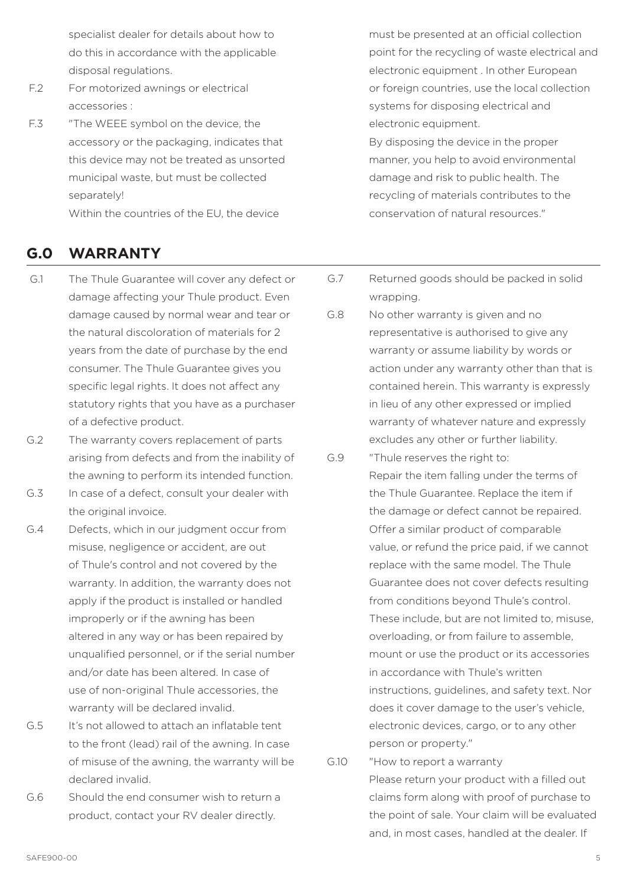specialist dealer for details about how to do this in accordance with the applicable disposal regulations.

- F.2 For motorized awnings or electrical accessories :
- F.3 "The WEEE symbol on the device, the accessory or the packaging, indicates that this device may not be treated as unsorted municipal waste, but must be collected separately! Within the countries of the EU, the device

## **G.0 WARRANTY**

- G.1 The Thule Guarantee will cover any defect or damage affecting your Thule product. Even damage caused by normal wear and tear or the natural discoloration of materials for 2 years from the date of purchase by the end consumer. The Thule Guarantee gives you specific legal rights. It does not affect any statutory rights that you have as a purchaser of a defective product.
- G.2 The warranty covers replacement of parts arising from defects and from the inability of the awning to perform its intended function.
- G.3 In case of a defect, consult your dealer with the original invoice.
- G.4 Defects, which in our judgment occur from misuse, negligence or accident, are out of Thule's control and not covered by the warranty. In addition, the warranty does not apply if the product is installed or handled improperly or if the awning has been altered in any way or has been repaired by unqualified personnel, or if the serial number and/or date has been altered. In case of use of non-original Thule accessories, the warranty will be declared invalid.
- G.5 It's not allowed to attach an inflatable tent to the front (lead) rail of the awning. In case of misuse of the awning, the warranty will be declared invalid.
- G.6 Should the end consumer wish to return a product, contact your RV dealer directly.

must be presented at an official collection point for the recycling of waste electrical and electronic equipment . In other European or foreign countries, use the local collection systems for disposing electrical and electronic equipment.

By disposing the device in the proper manner, you help to avoid environmental damage and risk to public health. The recycling of materials contributes to the conservation of natural resources."

- G.7 Returned goods should be packed in solid wrapping.
- G.8 No other warranty is given and no representative is authorised to give any warranty or assume liability by words or action under any warranty other than that is contained herein. This warranty is expressly in lieu of any other expressed or implied warranty of whatever nature and expressly excludes any other or further liability.
- G.9 "Thule reserves the right to: Repair the item falling under the terms of the Thule Guarantee. Replace the item if the damage or defect cannot be repaired. Offer a similar product of comparable value, or refund the price paid, if we cannot replace with the same model. The Thule Guarantee does not cover defects resulting from conditions beyond Thule's control. These include, but are not limited to, misuse, overloading, or from failure to assemble, mount or use the product or its accessories in accordance with Thule's written instructions, guidelines, and safety text. Nor does it cover damage to the user's vehicle, electronic devices, cargo, or to any other person or property."
- G.10 "How to report a warranty Please return your product with a filled out claims form along with proof of purchase to the point of sale. Your claim will be evaluated and, in most cases, handled at the dealer. If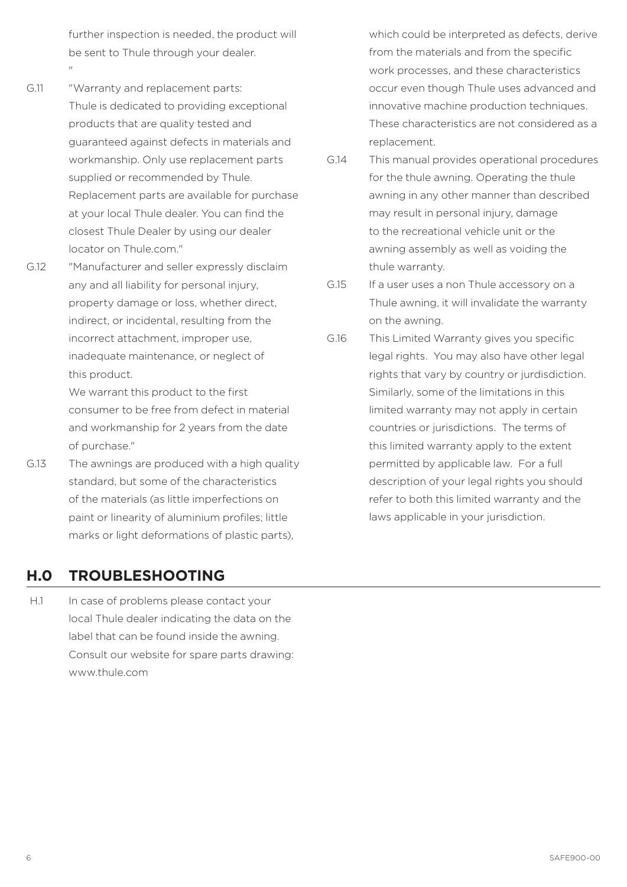further inspection is needed, the product will be sent to Thule through your dealer. "

- G.11 "Warranty and replacement parts: Thule is dedicated to providing exceptional products that are quality tested and guaranteed against defects in materials and workmanship. Only use replacement parts supplied or recommended by Thule. Replacement parts are available for purchase at your local Thule dealer. You can find the closest Thule Dealer by using our dealer locator on Thule com."
- G.12 "Manufacturer and seller expressly disclaim any and all liability for personal injury, property damage or loss, whether direct, indirect, or incidental, resulting from the incorrect attachment, improper use, inadequate maintenance, or neglect of this product.

We warrant this product to the first consumer to be free from defect in material and workmanship for 2 years from the date of purchase."

G.13 The awnings are produced with a high quality standard, but some of the characteristics of the materials (as little imperfections on paint or linearity of aluminium profiles; little marks or light deformations of plastic parts),

#### which could be interpreted as defects, derive from the materials and from the specific work processes, and these characteristics occur even though Thule uses advanced and innovative machine production techniques. These characteristics are not considered as a replacement.

- G.14 This manual provides operational procedures for the thule awning. Operating the thule awning in any other manner than described may result in personal injury, damage to the recreational vehicle unit or the awning assembly as well as voiding the thule warranty.
- G.15 If a user uses a non Thule accessory on a Thule awning, it will invalidate the warranty on the awning.
- G.16 This Limited Warranty gives you specific legal rights. You may also have other legal rights that vary by country or jurdisdiction. Similarly, some of the limitations in this limited warranty may not apply in certain countries or jurisdictions. The terms of this limited warranty apply to the extent permitted by applicable law. For a full description of your legal rights you should refer to both this limited warranty and the laws applicable in your jurisdiction.

# **H.0 TROUBLESHOOTING**

H.1 In case of problems please contact your local Thule dealer indicating the data on the label that can be found inside the awning. Consult our website for spare parts drawing: www.thule.com